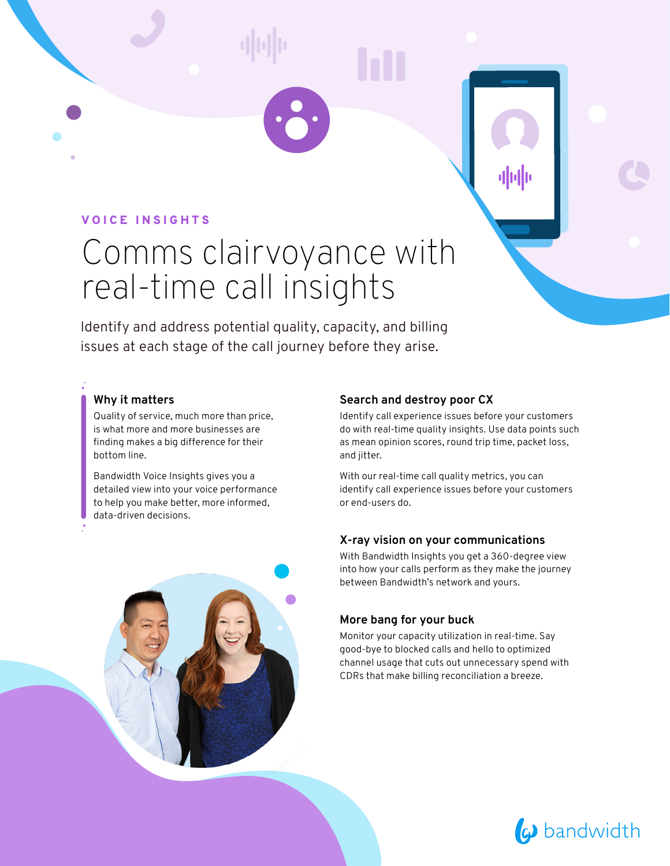### VOICE INSIGHTS

# Comms clairvoyance with real-time call insights

Identify and address potential quality, capacity, and billing issues at each stage of the call journey before they arise.

### **Why it matters**

Quality of service, much more than price, is what more and more businesses are finding makes a big difference for their bottom line.

Bandwidth Voice Insights gives you a detailed view into your voice performance to help you make better, more informed, data-driven decisions.

### **Search and destroy poor CX**

Identify call experience issues before your customers do with real-time quality insights. Use data points such as mean opinion scores, round trip time, packet loss, and jitter.

With our real-time call quality metrics, you can identify call experience issues before your customers or end-users do.

### **X-ray vision on your communications**

With Bandwidth Insights you get a 360-degree view into how your calls perform as they make the journey between Bandwidth's network and yours.

### **More bang for your buck**

Monitor your capacity utilization in real-time. Say good-bye to blocked calls and hello to optimized channel usage that cuts out unnecessary spend with CDRs that make billing reconciliation a breeze.